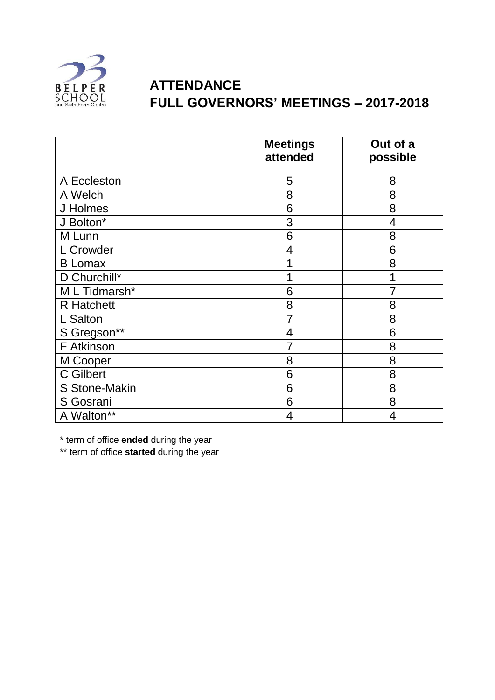

## **ATTENDANCE FULL GOVERNORS' MEETINGS – 2017-2018**

|                   | <b>Meetings</b><br>attended | Out of a<br>possible |
|-------------------|-----------------------------|----------------------|
| A Eccleston       | 5                           | 8                    |
| A Welch           | 8                           | 8                    |
| J Holmes          | 6                           | 8                    |
| J Bolton*         | 3                           | 4                    |
| M Lunn            | 6                           | 8                    |
| L Crowder         | 4                           | 6                    |
| <b>B</b> Lomax    |                             | 8                    |
| D Churchill*      |                             |                      |
| M L Tidmarsh*     | 6                           | 7                    |
| <b>R</b> Hatchett | 8                           | 8                    |
| L Salton          |                             | 8                    |
| S Gregson**       | 4                           | 6                    |
| F Atkinson        | 7                           | 8                    |
| M Cooper          | 8                           | 8                    |
| C Gilbert         | 6                           | 8                    |
| S Stone-Makin     | 6                           | 8                    |
| S Gosrani         | 6                           | 8                    |
| A Walton**        | 4                           | 4                    |

\* term of office **ended** during the year

\*\* term of office **started** during the year